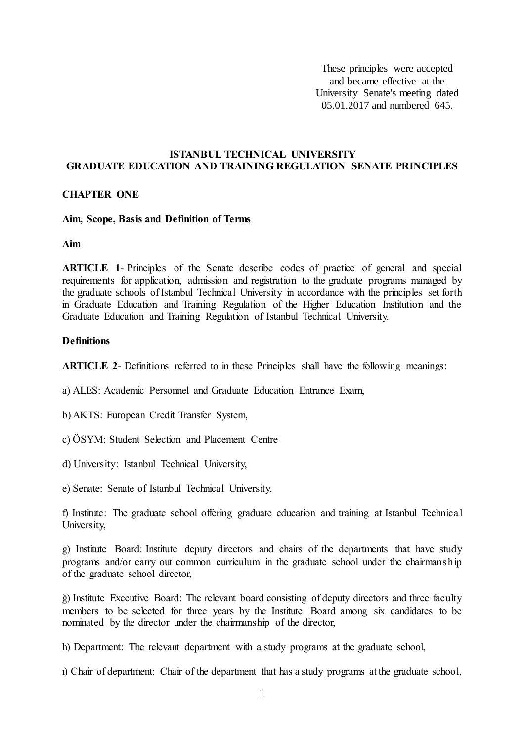These principles were accepted and became effective at the University Senate's meeting dated 05.01.2017 and numbered 645.

#### **ISTANBUL TECHNICAL UNIVERSITY GRADUATE EDUCATION AND TRAINING REGULATION SENATE PRINCIPLES**

#### **CHAPTER ONE**

#### **Aim, Scope, Basis and Definition of Terms**

**Aim**

**ARTICLE 1**- Principles of the Senate describe codes of practice of general and special requirements for application, admission and registration to the graduate programs managed by the graduate schools of Istanbul Technical University in accordance with the principles set forth in Graduate Education and Training Regulation of the Higher Education Institution and the Graduate Education and Training Regulation of Istanbul Technical University.

#### **Definitions**

**ARTICLE 2**- Definitions referred to in these Principles shall have the following meanings:

a) ALES: Academic Personnel and Graduate Education Entrance Exam,

b) AKTS: European Credit Transfer System,

- c) ÖSYM: Student Selection and Placement Centre
- d) University: Istanbul Technical University,
- e) Senate: Senate of Istanbul Technical University,

f) Institute: The graduate school offering graduate education and training at Istanbul Technical University,

g) Institute Board: Institute deputy directors and chairs of the departments that have study programs and/or carry out common curriculum in the graduate school under the chairmanship of the graduate school director,

ğ) Institute Executive Board: The relevant board consisting of deputy directors and three faculty members to be selected for three years by the Institute Board among six candidates to be nominated by the director under the chairmanship of the director,

h) Department: The relevant department with a study programs at the graduate school,

ı) Chair of department: Chair of the department that has a study programs at the graduate school,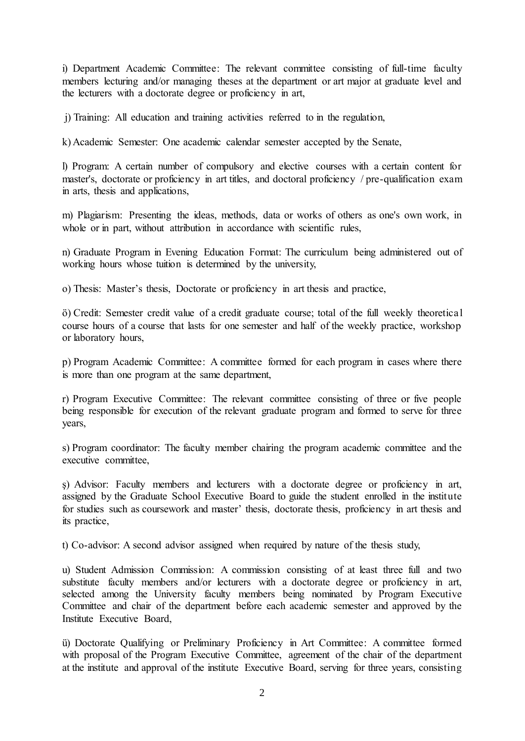i) Department Academic Committee: The relevant committee consisting of full-time faculty members lecturing and/or managing theses at the department or art major at graduate level and the lecturers with a doctorate degree or proficiency in art,

j) Training: All education and training activities referred to in the regulation,

k) Academic Semester: One academic calendar semester accepted by the Senate,

l) Program: A certain number of compulsory and elective courses with a certain content for master's, doctorate or proficiency in art titles, and doctoral proficiency / pre-qualification exam in arts, thesis and applications,

m) Plagiarism: Presenting the ideas, methods, data or works of others as one's own work, in whole or in part, without attribution in accordance with scientific rules,

n) Graduate Program in Evening Education Format: The curriculum being administered out of working hours whose tuition is determined by the university,

o) Thesis: Master's thesis, Doctorate or proficiency in art thesis and practice,

ö) Credit: Semester credit value of a credit graduate course; total of the full weekly theoretical course hours of a course that lasts for one semester and half of the weekly practice, workshop or laboratory hours,

p) Program Academic Committee: A committee formed for each program in cases where there is more than one program at the same department,

r) Program Executive Committee: The relevant committee consisting of three or five people being responsible for execution of the relevant graduate program and formed to serve for three years,

s) Program coordinator: The faculty member chairing the program academic committee and the executive committee,

ş) Advisor: Faculty members and lecturers with a doctorate degree or proficiency in art, assigned by the Graduate School Executive Board to guide the student enrolled in the institute for studies such as coursework and master' thesis, doctorate thesis, proficiency in art thesis and its practice,

t) Co-advisor: A second advisor assigned when required by nature of the thesis study,

u) Student Admission Commission: A commission consisting of at least three full and two substitute faculty members and/or lecturers with a doctorate degree or proficiency in art, selected among the University faculty members being nominated by Program Executive Committee and chair of the department before each academic semester and approved by the Institute Executive Board,

ü) Doctorate Qualifying or Preliminary Proficiency in Art Committee: A committee formed with proposal of the Program Executive Committee, agreement of the chair of the department at the institute and approval of the institute Executive Board, serving for three years, consisting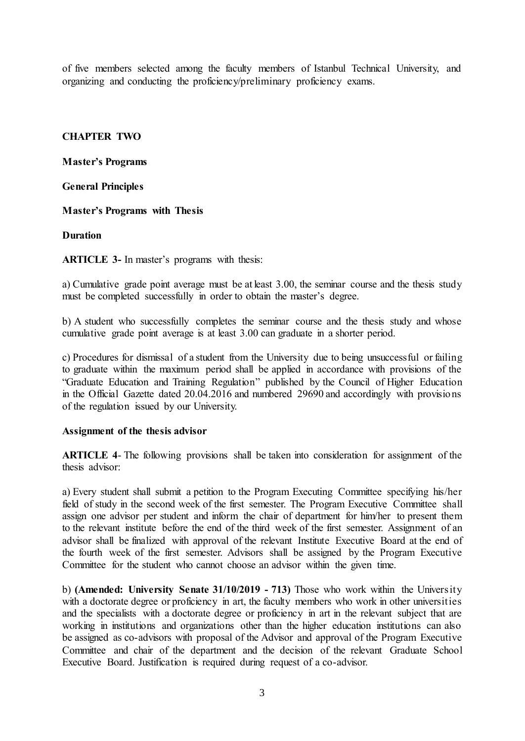of five members selected among the faculty members of Istanbul Technical University, and organizing and conducting the proficiency/preliminary proficiency exams.

# **CHAPTER TWO**

**Master's Programs**

**General Principles**

# **Master's Programs with Thesis**

# **Duration**

**ARTICLE 3-** In master's programs with thesis:

a) Cumulative grade point average must be at least 3.00, the seminar course and the thesis study must be completed successfully in order to obtain the master's degree.

b) A student who successfully completes the seminar course and the thesis study and whose cumulative grade point average is at least 3.00 can graduate in a shorter period.

c) Procedures for dismissal of a student from the University due to being unsuccessful or failing to graduate within the maximum period shall be applied in accordance with provisions of the "Graduate Education and Training Regulation" published by the Council of Higher Education in the Official Gazette dated 20.04.2016 and numbered 29690 and accordingly with provisions of the regulation issued by our University.

### **Assignment of the thesis advisor**

**ARTICLE 4**- The following provisions shall be taken into consideration for assignment of the thesis advisor:

a) Every student shall submit a petition to the Program Executing Committee specifying his/her field of study in the second week of the first semester. The Program Executive Committee shall assign one advisor per student and inform the chair of department for him/her to present them to the relevant institute before the end of the third week of the first semester. Assignment of an advisor shall be finalized with approval of the relevant Institute Executive Board at the end of the fourth week of the first semester. Advisors shall be assigned by the Program Executive Committee for the student who cannot choose an advisor within the given time.

b) **(Amended: University Senate 31/10/2019 - 713)** Those who work within the University with a doctorate degree or proficiency in art, the faculty members who work in other universities and the specialists with a doctorate degree or proficiency in art in the relevant subject that are working in institutions and organizations other than the higher education institutions can also be assigned as co-advisors with proposal of the Advisor and approval of the Program Executive Committee and chair of the department and the decision of the relevant Graduate School Executive Board. Justification is required during request of a co-advisor.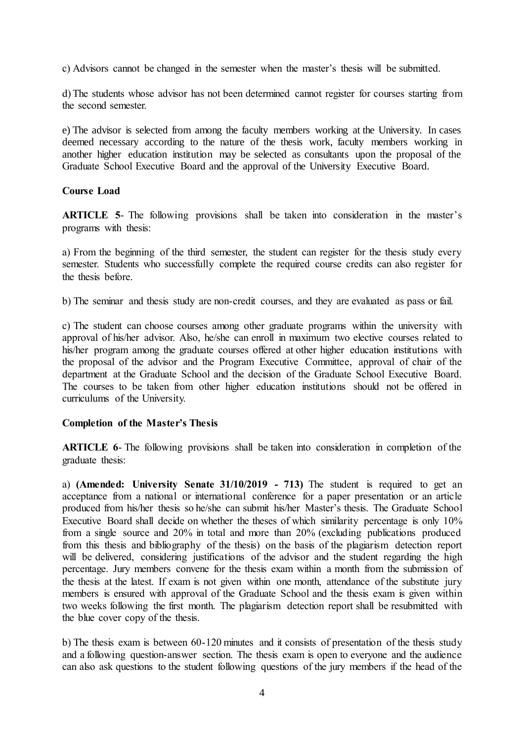c) Advisors cannot be changed in the semester when the master's thesis will be submitted.

d) The students whose advisor has not been determined cannot register for courses starting from the second semester.

e) The advisor is selected from among the faculty members working at the University. In cases deemed necessary according to the nature of the thesis work, faculty members working in another higher education institution may be selected as consultants upon the proposal of the Graduate School Executive Board and the approval of the University Executive Board.

### **Course Load**

**ARTICLE 5-** The following provisions shall be taken into consideration in the master's programs with thesis:

a) From the beginning of the third semester, the student can register for the thesis study every semester. Students who successfully complete the required course credits can also register for the thesis before.

b) The seminar and thesis study are non-credit courses, and they are evaluated as pass or fail.

c) The student can choose courses among other graduate programs within the university with approval of his/her advisor. Also, he/she can enroll in maximum two elective courses related to his/her program among the graduate courses offered at other higher education institutions with the proposal of the advisor and the Program Executive Committee, approval of chair of the department at the Graduate School and the decision of the Graduate School Executive Board. The courses to be taken from other higher education institutions should not be offered in curriculums of the University.

### **Completion of the Master's Thesis**

**ARTICLE 6**- The following provisions shall be taken into consideration in completion of the graduate thesis:

a) **(Amended: University Senate 31/10/2019 - 713)** The student is required to get an acceptance from a national or international conference for a paper presentation or an article produced from his/her thesis so he/she can submit his/her Master's thesis. The Graduate School Executive Board shall decide on whether the theses of which similarity percentage is only 10% from a single source and 20% in total and more than 20% (excluding publications produced from this thesis and bibliography of the thesis) on the basis of the plagiarism detection report will be delivered, considering justifications of the advisor and the student regarding the high percentage. Jury members convene for the thesis exam within a month from the submission of the thesis at the latest. If exam is not given within one month, attendance of the substitute jury members is ensured with approval of the Graduate School and the thesis exam is given within two weeks following the first month. The plagiarism detection report shall be resubmitted with the blue cover copy of the thesis.

b) The thesis exam is between 60-120 minutes and it consists of presentation of the thesis study and a following question-answer section. The thesis exam is open to everyone and the audience can also ask questions to the student following questions of the jury members if the head of the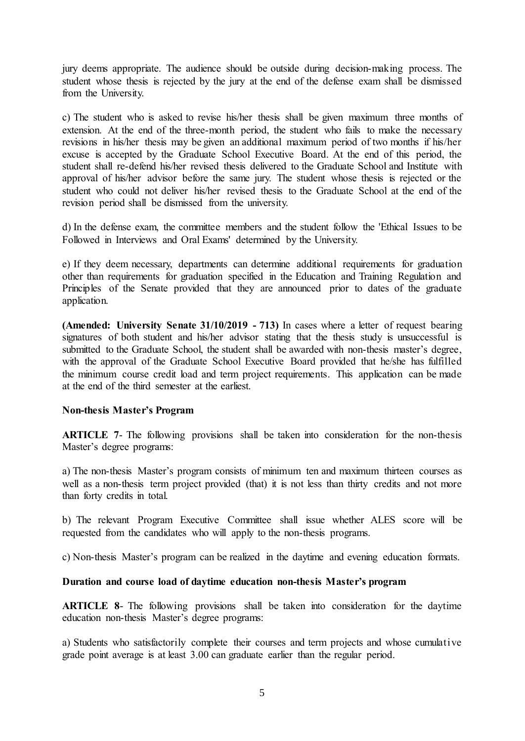jury deems appropriate. The audience should be outside during decision-making process. The student whose thesis is rejected by the jury at the end of the defense exam shall be dismissed from the University.

c) The student who is asked to revise his/her thesis shall be given maximum three months of extension. At the end of the three-month period, the student who fails to make the necessary revisions in his/her thesis may be given an additional maximum period of two months if his/her excuse is accepted by the Graduate School Executive Board. At the end of this period, the student shall re-defend his/her revised thesis delivered to the Graduate School and Institute with approval of his/her advisor before the same jury. The student whose thesis is rejected or the student who could not deliver his/her revised thesis to the Graduate School at the end of the revision period shall be dismissed from the university.

d) In the defense exam, the committee members and the student follow the 'Ethical Issues to be Followed in Interviews and Oral Exams' determined by the University.

e) If they deem necessary, departments can determine additional requirements for graduation other than requirements for graduation specified in the Education and Training Regulation and Principles of the Senate provided that they are announced prior to dates of the graduate application.

**(Amended: University Senate 31/10/2019 - 713)** In cases where a letter of request bearing signatures of both student and his/her advisor stating that the thesis study is unsuccessful is submitted to the Graduate School, the student shall be awarded with non-thesis master's degree, with the approval of the Graduate School Executive Board provided that he/she has fulfilled the minimum course credit load and term project requirements. This application can be made at the end of the third semester at the earliest.

### **Non-thesis Master's Program**

**ARTICLE** 7- The following provisions shall be taken into consideration for the non-thesis Master's degree programs:

a) The non-thesis Master's program consists of minimum ten and maximum thirteen courses as well as a non-thesis term project provided (that) it is not less than thirty credits and not more than forty credits in total.

b) The relevant Program Executive Committee shall issue whether ALES score will be requested from the candidates who will apply to the non-thesis programs.

c) Non-thesis Master's program can be realized in the daytime and evening education formats.

### **Duration and course load of daytime education non-thesis Master's program**

**ARTICLE 8**- The following provisions shall be taken into consideration for the daytime education non-thesis Master's degree programs:

a) Students who satisfactorily complete their courses and term projects and whose cumulative grade point average is at least 3.00 can graduate earlier than the regular period.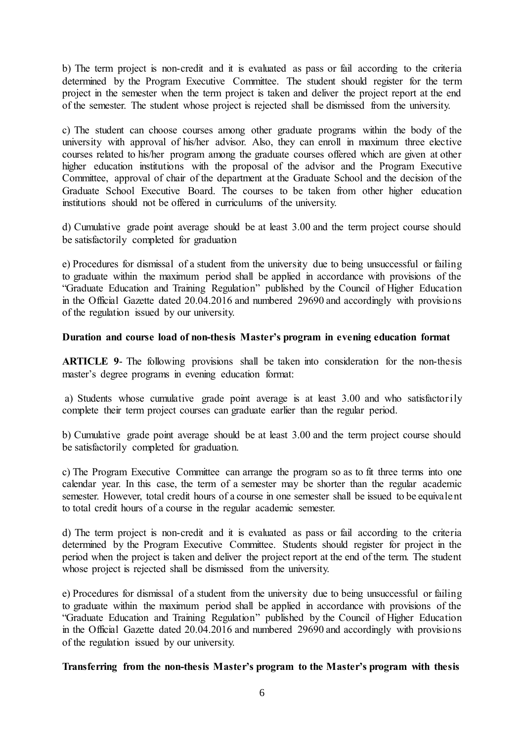b) The term project is non-credit and it is evaluated as pass or fail according to the criteria determined by the Program Executive Committee. The student should register for the term project in the semester when the term project is taken and deliver the project report at the end of the semester. The student whose project is rejected shall be dismissed from the university.

c) The student can choose courses among other graduate programs within the body of the university with approval of his/her advisor. Also, they can enroll in maximum three elective courses related to his/her program among the graduate courses offered which are given at other higher education institutions with the proposal of the advisor and the Program Executive Committee, approval of chair of the department at the Graduate School and the decision of the Graduate School Executive Board. The courses to be taken from other higher education institutions should not be offered in curriculums of the university.

d) Cumulative grade point average should be at least 3.00 and the term project course should be satisfactorily completed for graduation

e) Procedures for dismissal of a student from the university due to being unsuccessful or failing to graduate within the maximum period shall be applied in accordance with provisions of the "Graduate Education and Training Regulation" published by the Council of Higher Education in the Official Gazette dated 20.04.2016 and numbered 29690 and accordingly with provisions of the regulation issued by our university.

### **Duration and course load of non-thesis Master's program in evening education format**

**ARTICLE 9**- The following provisions shall be taken into consideration for the non-thesis master's degree programs in evening education format:

a) Students whose cumulative grade point average is at least 3.00 and who satisfactorily complete their term project courses can graduate earlier than the regular period.

b) Cumulative grade point average should be at least 3.00 and the term project course should be satisfactorily completed for graduation.

c) The Program Executive Committee can arrange the program so as to fit three terms into one calendar year. In this case, the term of a semester may be shorter than the regular academic semester. However, total credit hours of a course in one semester shall be issued to be equivalent to total credit hours of a course in the regular academic semester.

d) The term project is non-credit and it is evaluated as pass or fail according to the criteria determined by the Program Executive Committee. Students should register for project in the period when the project is taken and deliver the project report at the end of the term. The student whose project is rejected shall be dismissed from the university.

e) Procedures for dismissal of a student from the university due to being unsuccessful or failing to graduate within the maximum period shall be applied in accordance with provisions of the "Graduate Education and Training Regulation" published by the Council of Higher Education in the Official Gazette dated 20.04.2016 and numbered 29690 and accordingly with provisions of the regulation issued by our university.

### **Transferring from the non-thesis Master's program to the Master's program with thesis**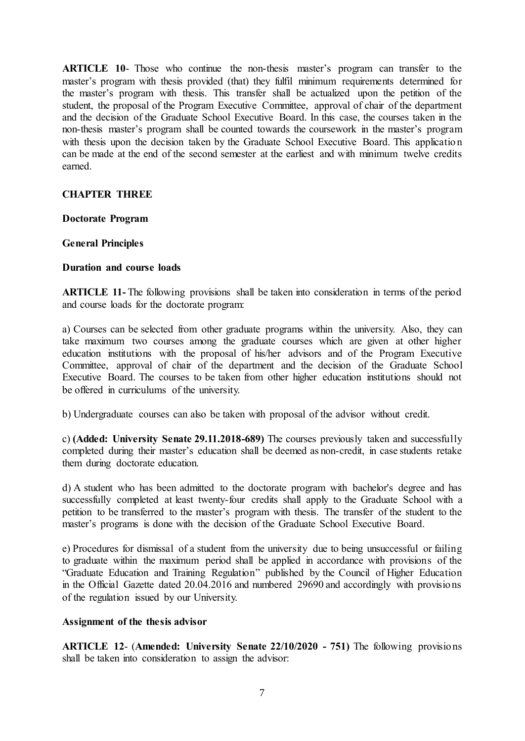**ARTICLE 10**- Those who continue the non-thesis master's program can transfer to the master's program with thesis provided (that) they fulfil minimum requirements determined for the master's program with thesis. This transfer shall be actualized upon the petition of the student, the proposal of the Program Executive Committee, approval of chair of the department and the decision of the Graduate School Executive Board. In this case, the courses taken in the non-thesis master's program shall be counted towards the coursework in the master's program with thesis upon the decision taken by the Graduate School Executive Board. This application can be made at the end of the second semester at the earliest and with minimum twelve credits earned.

# **CHAPTER THREE**

**Doctorate Program**

#### **General Principles**

### **Duration and course loads**

**ARTICLE 11-** The following provisions shall be taken into consideration in terms of the period and course loads for the doctorate program:

a) Courses can be selected from other graduate programs within the university. Also, they can take maximum two courses among the graduate courses which are given at other higher education institutions with the proposal of his/her advisors and of the Program Executive Committee, approval of chair of the department and the decision of the Graduate School Executive Board. The courses to be taken from other higher education institutions should not be offered in curriculums of the university.

b) Undergraduate courses can also be taken with proposal of the advisor without credit.

c) **(Added: University Senate 29.11.2018-689)** The courses previously taken and successfully completed during their master's education shall be deemed as non-credit, in case students retake them during doctorate education.

d) A student who has been admitted to the doctorate program with bachelor's degree and has successfully completed at least twenty-four credits shall apply to the Graduate School with a petition to be transferred to the master's program with thesis. The transfer of the student to the master's programs is done with the decision of the Graduate School Executive Board.

e) Procedures for dismissal of a student from the university due to being unsuccessful or failing to graduate within the maximum period shall be applied in accordance with provisions of the "Graduate Education and Training Regulation" published by the Council of Higher Education in the Official Gazette dated 20.04.2016 and numbered 29690 and accordingly with provisions of the regulation issued by our University.

### **Assignment of the thesis advisor**

**ARTICLE 12**- (**Amended: University Senate 22/10/2020 - 751)** The following provisions shall be taken into consideration to assign the advisor: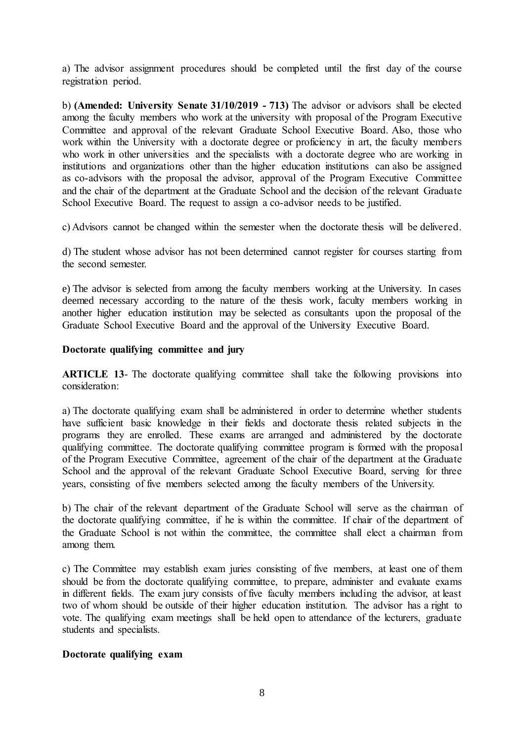a) The advisor assignment procedures should be completed until the first day of the course registration period.

b) **(Amended: University Senate 31/10/2019 - 713)** The advisor or advisors shall be elected among the faculty members who work at the university with proposal of the Program Executive Committee and approval of the relevant Graduate School Executive Board. Also, those who work within the University with a doctorate degree or proficiency in art, the faculty members who work in other universities and the specialists with a doctorate degree who are working in institutions and organizations other than the higher education institutions can also be assigned as co-advisors with the proposal the advisor, approval of the Program Executive Committee and the chair of the department at the Graduate School and the decision of the relevant Graduate School Executive Board. The request to assign a co-advisor needs to be justified.

c) Advisors cannot be changed within the semester when the doctorate thesis will be delivered.

d) The student whose advisor has not been determined cannot register for courses starting from the second semester.

e) The advisor is selected from among the faculty members working at the University. In cases deemed necessary according to the nature of the thesis work, faculty members working in another higher education institution may be selected as consultants upon the proposal of the Graduate School Executive Board and the approval of the University Executive Board.

### **Doctorate qualifying committee and jury**

**ARTICLE 13-** The doctorate qualifying committee shall take the following provisions into consideration:

a) The doctorate qualifying exam shall be administered in order to determine whether students have sufficient basic knowledge in their fields and doctorate thesis related subjects in the programs they are enrolled. These exams are arranged and administered by the doctorate qualifying committee. The doctorate qualifying committee program is formed with the proposal of the Program Executive Committee, agreement of the chair of the department at the Graduate School and the approval of the relevant Graduate School Executive Board, serving for three years, consisting of five members selected among the faculty members of the University.

b) The chair of the relevant department of the Graduate School will serve as the chairman of the doctorate qualifying committee, if he is within the committee. If chair of the department of the Graduate School is not within the committee, the committee shall elect a chairman from among them.

c) The Committee may establish exam juries consisting of five members, at least one of them should be from the doctorate qualifying committee, to prepare, administer and evaluate exams in different fields. The exam jury consists of five faculty members including the advisor, at least two of whom should be outside of their higher education institution. The advisor has a right to vote. The qualifying exam meetings shall be held open to attendance of the lecturers, graduate students and specialists.

### **Doctorate qualifying exam**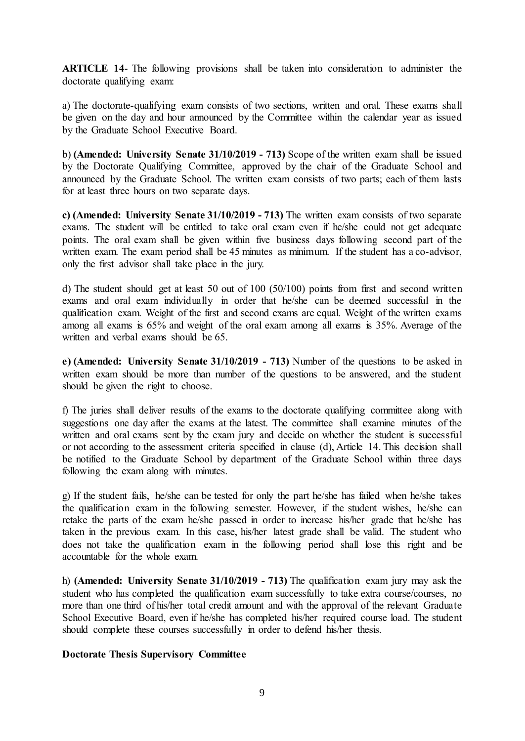**ARTICLE 14**- The following provisions shall be taken into consideration to administer the doctorate qualifying exam:

a) The doctorate-qualifying exam consists of two sections, written and oral. These exams shall be given on the day and hour announced by the Committee within the calendar year as issued by the Graduate School Executive Board.

b) **(Amended: University Senate 31/10/2019 - 713)** Scope of the written exam shall be issued by the Doctorate Qualifying Committee, approved by the chair of the Graduate School and announced by the Graduate School. The written exam consists of two parts; each of them lasts for at least three hours on two separate days.

**c) (Amended: University Senate 31/10/2019 - 713)** The written exam consists of two separate exams. The student will be entitled to take oral exam even if he/she could not get adequate points. The oral exam shall be given within five business days following second part of the written exam. The exam period shall be 45 minutes as minimum. If the student has a co-advisor, only the first advisor shall take place in the jury.

d) The student should get at least 50 out of 100 (50/100) points from first and second written exams and oral exam individually in order that he/she can be deemed successful in the qualification exam. Weight of the first and second exams are equal. Weight of the written exams among all exams is 65% and weight of the oral exam among all exams is 35%. Average of the written and verbal exams should be 65.

**e) (Amended: University Senate 31/10/2019 - 713)** Number of the questions to be asked in written exam should be more than number of the questions to be answered, and the student should be given the right to choose.

f) The juries shall deliver results of the exams to the doctorate qualifying committee along with suggestions one day after the exams at the latest. The committee shall examine minutes of the written and oral exams sent by the exam jury and decide on whether the student is successful or not according to the assessment criteria specified in clause (d), Article 14. This decision shall be notified to the Graduate School by department of the Graduate School within three days following the exam along with minutes.

g) If the student fails, he/she can be tested for only the part he/she has failed when he/she takes the qualification exam in the following semester. However, if the student wishes, he/she can retake the parts of the exam he/she passed in order to increase his/her grade that he/she has taken in the previous exam. In this case, his/her latest grade shall be valid. The student who does not take the qualification exam in the following period shall lose this right and be accountable for the whole exam.

h) **(Amended: University Senate 31/10/2019 - 713)** The qualification exam jury may ask the student who has completed the qualification exam successfully to take extra course/courses, no more than one third of his/her total credit amount and with the approval of the relevant Graduate School Executive Board, even if he/she has completed his/her required course load. The student should complete these courses successfully in order to defend his/her thesis.

### **Doctorate Thesis Supervisory Committee**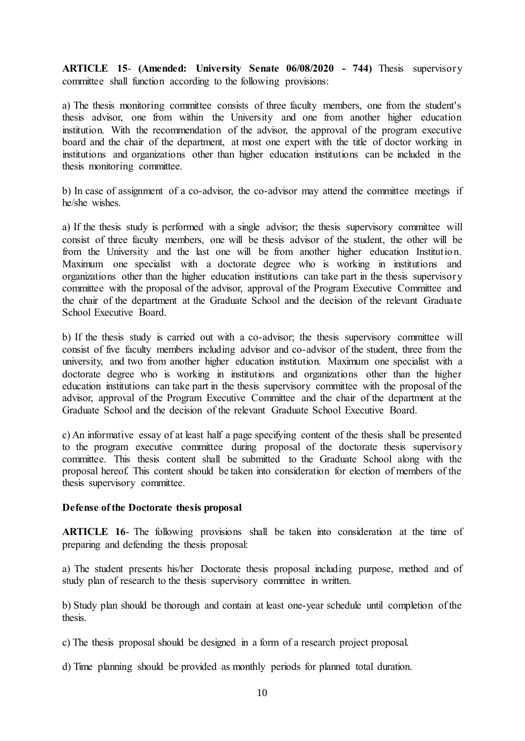**ARTICLE 15**- **(Amended: University Senate 06/08/2020 - 744)** Thesis supervisory committee shall function according to the following provisions:

a) The thesis monitoring committee consists of three faculty members, one from the student's thesis advisor, one from within the University and one from another higher education institution. With the recommendation of the advisor, the approval of the program executive board and the chair of the department, at most one expert with the title of doctor working in institutions and organizations other than higher education institutions can be included in the thesis monitoring committee.

b) In case of assignment of a co-advisor, the co-advisor may attend the committee meetings if he/she wishes.

a) If the thesis study is performed with a single advisor; the thesis supervisory committee will consist of three faculty members, one will be thesis advisor of the student, the other will be from the University and the last one will be from another higher education Institution. Maximum one specialist with a doctorate degree who is working in institutions and organizations other than the higher education institutions can take part in the thesis supervisory committee with the proposal of the advisor, approval of the Program Executive Committee and the chair of the department at the Graduate School and the decision of the relevant Graduate School Executive Board.

b) If the thesis study is carried out with a co-advisor; the thesis supervisory committee will consist of five faculty members including advisor and co-advisor of the student, three from the university, and two from another higher education institution. Maximum one specialist with a doctorate degree who is working in institutions and organizations other than the higher education institutions can take part in the thesis supervisory committee with the proposal of the advisor, approval of the Program Executive Committee and the chair of the department at the Graduate School and the decision of the relevant Graduate School Executive Board.

c) An informative essay of at least half a page specifying content of the thesis shall be presented to the program executive committee during proposal of the doctorate thesis supervisory committee. This thesis content shall be submitted to the Graduate School along with the proposal hereof. This content should be taken into consideration for election of members of the thesis supervisory committee.

### **Defense of the Doctorate thesis proposal**

**ARTICLE 16-** The following provisions shall be taken into consideration at the time of preparing and defending the thesis proposal:

a) The student presents his/her Doctorate thesis proposal including purpose, method and of study plan of research to the thesis supervisory committee in written.

b) Study plan should be thorough and contain at least one-year schedule until completion of the thesis.

- c) The thesis proposal should be designed in a form of a research project proposal.
- d) Time planning should be provided as monthly periods for planned total duration.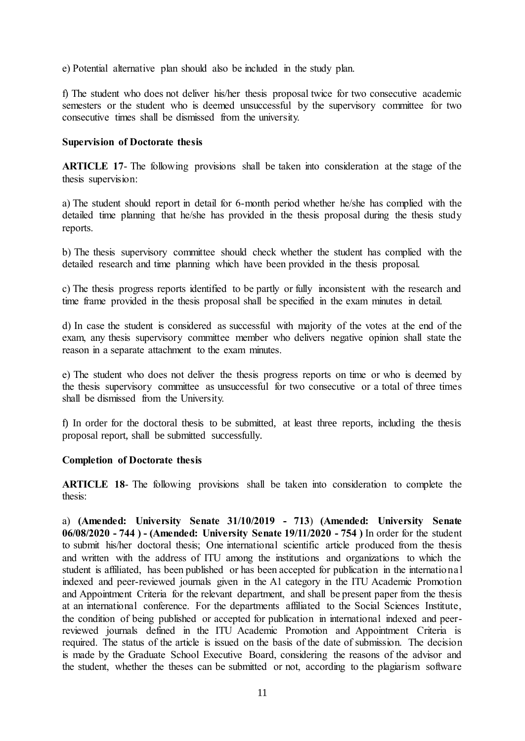e) Potential alternative plan should also be included in the study plan.

f) The student who does not deliver his/her thesis proposal twice for two consecutive academic semesters or the student who is deemed unsuccessful by the supervisory committee for two consecutive times shall be dismissed from the university.

## **Supervision of Doctorate thesis**

**ARTICLE 17**- The following provisions shall be taken into consideration at the stage of the thesis supervision:

a) The student should report in detail for 6-month period whether he/she has complied with the detailed time planning that he/she has provided in the thesis proposal during the thesis study reports.

b) The thesis supervisory committee should check whether the student has complied with the detailed research and time planning which have been provided in the thesis proposal.

c) The thesis progress reports identified to be partly or fully inconsistent with the research and time frame provided in the thesis proposal shall be specified in the exam minutes in detail.

d) In case the student is considered as successful with majority of the votes at the end of the exam, any thesis supervisory committee member who delivers negative opinion shall state the reason in a separate attachment to the exam minutes.

e) The student who does not deliver the thesis progress reports on time or who is deemed by the thesis supervisory committee as unsuccessful for two consecutive or a total of three times shall be dismissed from the University.

f) In order for the doctoral thesis to be submitted, at least three reports, including the thesis proposal report, shall be submitted successfully.

### **Completion of Doctorate thesis**

**ARTICLE 18**- The following provisions shall be taken into consideration to complete the thesis:

a) **(Amended: University Senate 31/10/2019 - 713**) **(Amended: University Senate 06/08/2020 - 744 ) - (Amended: University Senate 19/11/2020 - 754 )** In order for the student to submit his/her doctoral thesis; One international scientific article produced from the thesis and written with the address of ITU among the institutions and organizations to which the student is affiliated, has been published or has been accepted for publication in the international indexed and peer-reviewed journals given in the A1 category in the ITU Academic Promotion and Appointment Criteria for the relevant department, and shall be present paper from the thesis at an international conference. For the departments affiliated to the Social Sciences Institute, the condition of being published or accepted for publication in international indexed and peerreviewed journals defined in the ITU Academic Promotion and Appointment Criteria is required. The status of the article is issued on the basis of the date of submission. The decision is made by the Graduate School Executive Board, considering the reasons of the advisor and the student, whether the theses can be submitted or not, according to the plagiarism software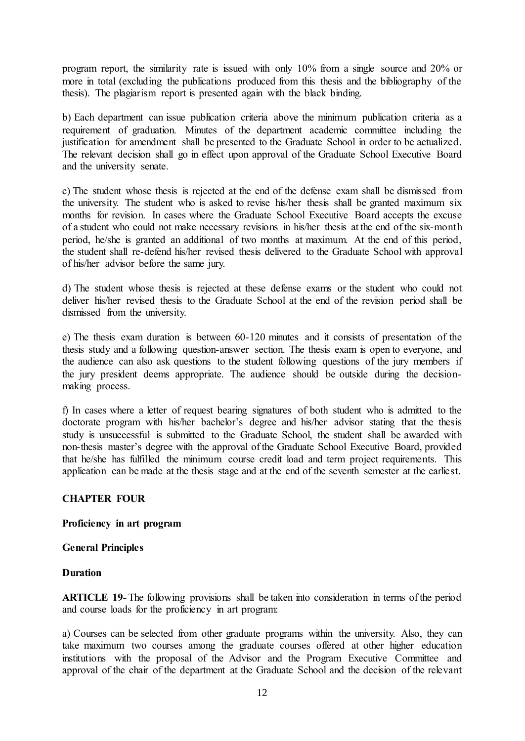program report, the similarity rate is issued with only 10% from a single source and 20% or more in total (excluding the publications produced from this thesis and the bibliography of the thesis). The plagiarism report is presented again with the black binding.

b) Each department can issue publication criteria above the minimum publication criteria as a requirement of graduation. Minutes of the department academic committee including the justification for amendment shall be presented to the Graduate School in order to be actualized. The relevant decision shall go in effect upon approval of the Graduate School Executive Board and the university senate.

c) The student whose thesis is rejected at the end of the defense exam shall be dismissed from the university. The student who is asked to revise his/her thesis shall be granted maximum six months for revision. In cases where the Graduate School Executive Board accepts the excuse of a student who could not make necessary revisions in his/her thesis at the end of the six-month period, he/she is granted an additional of two months at maximum. At the end of this period, the student shall re-defend his/her revised thesis delivered to the Graduate School with approval of his/her advisor before the same jury.

d) The student whose thesis is rejected at these defense exams or the student who could not deliver his/her revised thesis to the Graduate School at the end of the revision period shall be dismissed from the university.

e) The thesis exam duration is between 60-120 minutes and it consists of presentation of the thesis study and a following question-answer section. The thesis exam is open to everyone, and the audience can also ask questions to the student following questions of the jury members if the jury president deems appropriate. The audience should be outside during the decisionmaking process.

f) In cases where a letter of request bearing signatures of both student who is admitted to the doctorate program with his/her bachelor's degree and his/her advisor stating that the thesis study is unsuccessful is submitted to the Graduate School, the student shall be awarded with non-thesis master's degree with the approval of the Graduate School Executive Board, provided that he/she has fulfilled the minimum course credit load and term project requirements. This application can be made at the thesis stage and at the end of the seventh semester at the earliest.

# **CHAPTER FOUR**

### **Proficiency in art program**

### **General Principles**

### **Duration**

**ARTICLE 19-** The following provisions shall be taken into consideration in terms of the period and course loads for the proficiency in art program:

a) Courses can be selected from other graduate programs within the university. Also, they can take maximum two courses among the graduate courses offered at other higher education institutions with the proposal of the Advisor and the Program Executive Committee and approval of the chair of the department at the Graduate School and the decision of the relevant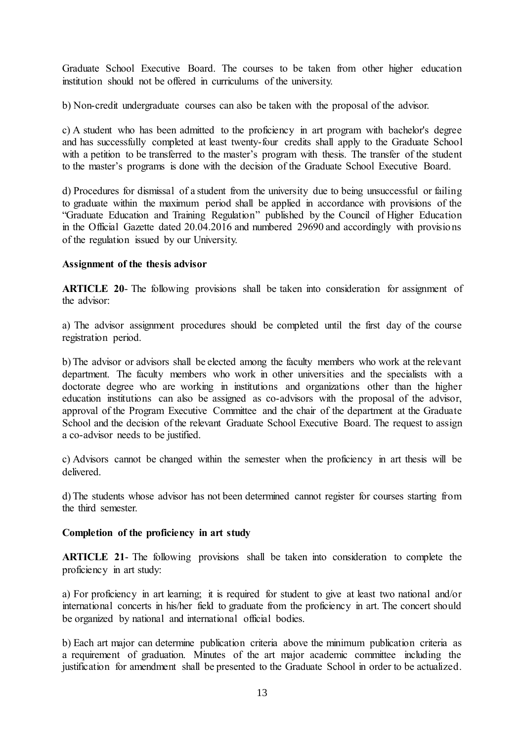Graduate School Executive Board. The courses to be taken from other higher education institution should not be offered in curriculums of the university.

b) Non-credit undergraduate courses can also be taken with the proposal of the advisor.

c) A student who has been admitted to the proficiency in art program with bachelor's degree and has successfully completed at least twenty-four credits shall apply to the Graduate School with a petition to be transferred to the master's program with thesis. The transfer of the student to the master's programs is done with the decision of the Graduate School Executive Board.

d) Procedures for dismissal of a student from the university due to being unsuccessful or failing to graduate within the maximum period shall be applied in accordance with provisions of the "Graduate Education and Training Regulation" published by the Council of Higher Education in the Official Gazette dated 20.04.2016 and numbered 29690 and accordingly with provisions of the regulation issued by our University.

# **Assignment of the thesis advisor**

**ARTICLE 20**- The following provisions shall be taken into consideration for assignment of the advisor:

a) The advisor assignment procedures should be completed until the first day of the course registration period.

b) The advisor or advisors shall be elected among the faculty members who work at the relevant department. The faculty members who work in other universities and the specialists with a doctorate degree who are working in institutions and organizations other than the higher education institutions can also be assigned as co-advisors with the proposal of the advisor, approval of the Program Executive Committee and the chair of the department at the Graduate School and the decision of the relevant Graduate School Executive Board. The request to assign a co-advisor needs to be justified.

c) Advisors cannot be changed within the semester when the proficiency in art thesis will be delivered.

d) The students whose advisor has not been determined cannot register for courses starting from the third semester.

### **Completion of the proficiency in art study**

**ARTICLE 21**- The following provisions shall be taken into consideration to complete the proficiency in art study:

a) For proficiency in art learning; it is required for student to give at least two national and/or international concerts in his/her field to graduate from the proficiency in art. The concert should be organized by national and international official bodies.

b) Each art major can determine publication criteria above the minimum publication criteria as a requirement of graduation. Minutes of the art major academic committee including the justification for amendment shall be presented to the Graduate School in order to be actualized.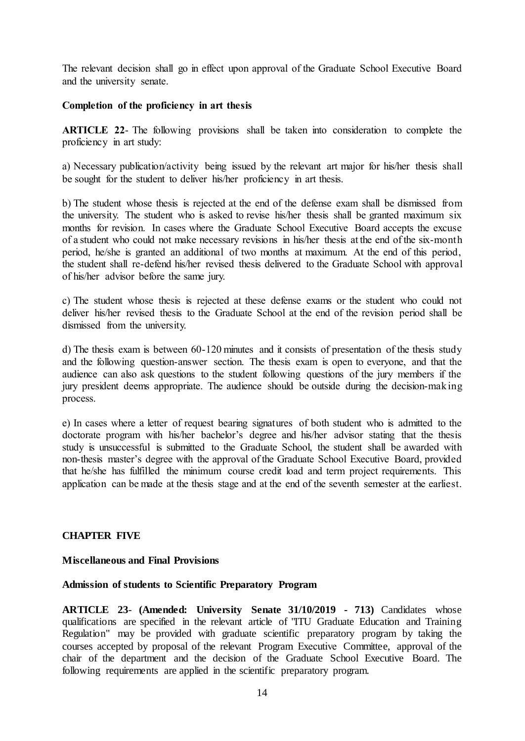The relevant decision shall go in effect upon approval of the Graduate School Executive Board and the university senate.

## **Completion of the proficiency in art thesis**

**ARTICLE 22**- The following provisions shall be taken into consideration to complete the proficiency in art study:

a) Necessary publication/activity being issued by the relevant art major for his/her thesis shall be sought for the student to deliver his/her proficiency in art thesis.

b) The student whose thesis is rejected at the end of the defense exam shall be dismissed from the university. The student who is asked to revise his/her thesis shall be granted maximum six months for revision. In cases where the Graduate School Executive Board accepts the excuse of a student who could not make necessary revisions in his/her thesis at the end of the six-month period, he/she is granted an additional of two months at maximum. At the end of this period, the student shall re-defend his/her revised thesis delivered to the Graduate School with approval of his/her advisor before the same jury.

c) The student whose thesis is rejected at these defense exams or the student who could not deliver his/her revised thesis to the Graduate School at the end of the revision period shall be dismissed from the university.

d) The thesis exam is between 60-120 minutes and it consists of presentation of the thesis study and the following question-answer section. The thesis exam is open to everyone, and that the audience can also ask questions to the student following questions of the jury members if the jury president deems appropriate. The audience should be outside during the decision-making process.

e) In cases where a letter of request bearing signatures of both student who is admitted to the doctorate program with his/her bachelor's degree and his/her advisor stating that the thesis study is unsuccessful is submitted to the Graduate School, the student shall be awarded with non-thesis master's degree with the approval of the Graduate School Executive Board, provided that he/she has fulfilled the minimum course credit load and term project requirements. This application can be made at the thesis stage and at the end of the seventh semester at the earliest.

### **CHAPTER FIVE**

### **Miscellaneous and Final Provisions**

### **Admission of students to Scientific Preparatory Program**

**ARTICLE 23**- **(Amended: University Senate 31/10/2019 - 713)** Candidates whose qualifications are specified in the relevant article of "ITU Graduate Education and Training Regulation" may be provided with graduate scientific preparatory program by taking the courses accepted by proposal of the relevant Program Executive Committee, approval of the chair of the department and the decision of the Graduate School Executive Board. The following requirements are applied in the scientific preparatory program.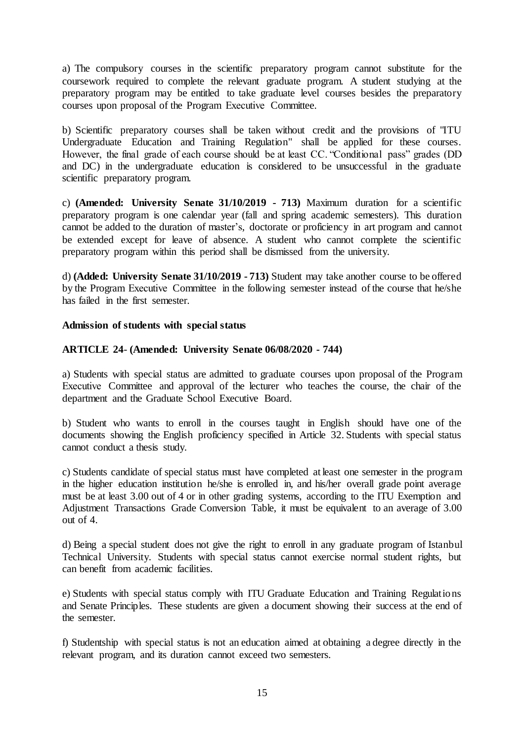a) The compulsory courses in the scientific preparatory program cannot substitute for the coursework required to complete the relevant graduate program. A student studying at the preparatory program may be entitled to take graduate level courses besides the preparatory courses upon proposal of the Program Executive Committee.

b) Scientific preparatory courses shall be taken without credit and the provisions of "ITU Undergraduate Education and Training Regulation" shall be applied for these courses. However, the final grade of each course should be at least CC. "Conditional pass" grades (DD and DC) in the undergraduate education is considered to be unsuccessful in the graduate scientific preparatory program.

c) **(Amended: University Senate 31/10/2019 - 713)** Maximum duration for a scientific preparatory program is one calendar year (fall and spring academic semesters). This duration cannot be added to the duration of master's, doctorate or proficiency in art program and cannot be extended except for leave of absence. A student who cannot complete the scientific preparatory program within this period shall be dismissed from the university.

d) **(Added: University Senate 31/10/2019 - 713)** Student may take another course to be offered by the Program Executive Committee in the following semester instead of the course that he/she has failed in the first semester.

# **Admission of students with special status**

# **ARTICLE 24**- **(Amended: University Senate 06/08/2020 - 744)**

a) Students with special status are admitted to graduate courses upon proposal of the Program Executive Committee and approval of the lecturer who teaches the course, the chair of the department and the Graduate School Executive Board.

b) Student who wants to enroll in the courses taught in English should have one of the documents showing the English proficiency specified in Article 32. Students with special status cannot conduct a thesis study.

c) Students candidate of special status must have completed at least one semester in the program in the higher education institution he/she is enrolled in, and his/her overall grade point average must be at least 3.00 out of 4 or in other grading systems, according to the ITU Exemption and Adjustment Transactions Grade Conversion Table, it must be equivalent to an average of 3.00 out of 4.

d) Being a special student does not give the right to enroll in any graduate program of Istanbul Technical University. Students with special status cannot exercise normal student rights, but can benefit from academic facilities.

e) Students with special status comply with ITU Graduate Education and Training Regulations and Senate Principles. These students are given a document showing their success at the end of the semester.

f) Studentship with special status is not an education aimed at obtaining a degree directly in the relevant program, and its duration cannot exceed two semesters.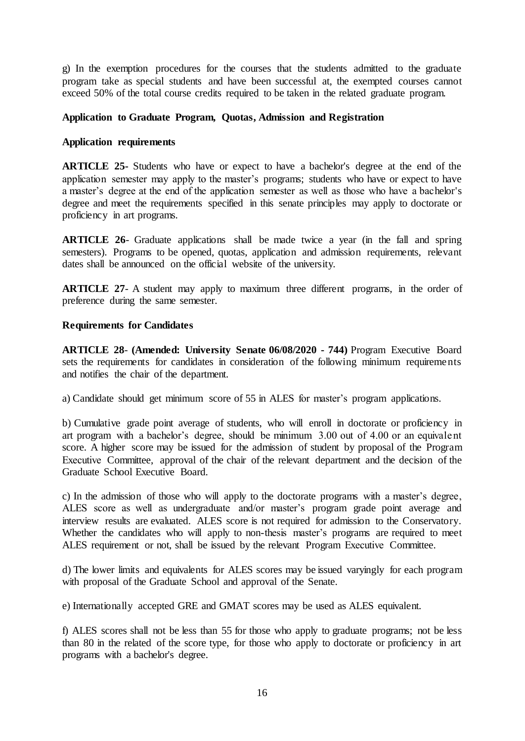g) In the exemption procedures for the courses that the students admitted to the graduate program take as special students and have been successful at, the exempted courses cannot exceed 50% of the total course credits required to be taken in the related graduate program.

## **Application to Graduate Program, Quotas, Admission and Registration**

### **Application requirements**

**ARTICLE 25-** Students who have or expect to have a bachelor's degree at the end of the application semester may apply to the master's programs; students who have or expect to have a master's degree at the end of the application semester as well as those who have a bachelor's degree and meet the requirements specified in this senate principles may apply to doctorate or proficiency in art programs.

**ARTICLE 26**- Graduate applications shall be made twice a year (in the fall and spring semesters). Programs to be opened, quotas, application and admission requirements, relevant dates shall be announced on the official website of the university.

**ARTICLE 27**- A student may apply to maximum three different programs, in the order of preference during the same semester.

### **Requirements for Candidates**

**ARTICLE 28**- **(Amended: University Senate 06/08/2020 - 744)** Program Executive Board sets the requirements for candidates in consideration of the following minimum requirements and notifies the chair of the department.

a) Candidate should get minimum score of 55 in ALES for master's program applications.

b) Cumulative grade point average of students, who will enroll in doctorate or proficiency in art program with a bachelor's degree, should be minimum 3.00 out of 4.00 or an equivalent score. A higher score may be issued for the admission of student by proposal of the Program Executive Committee, approval of the chair of the relevant department and the decision of the Graduate School Executive Board.

c) In the admission of those who will apply to the doctorate programs with a master's degree, ALES score as well as undergraduate and/or master's program grade point average and interview results are evaluated. ALES score is not required for admission to the Conservatory. Whether the candidates who will apply to non-thesis master's programs are required to meet ALES requirement or not, shall be issued by the relevant Program Executive Committee.

d) The lower limits and equivalents for ALES scores may be issued varyingly for each program with proposal of the Graduate School and approval of the Senate.

e) Internationally accepted GRE and GMAT scores may be used as ALES equivalent.

f) ALES scores shall not be less than 55 for those who apply to graduate programs; not be less than 80 in the related of the score type, for those who apply to doctorate or proficiency in art programs with a bachelor's degree.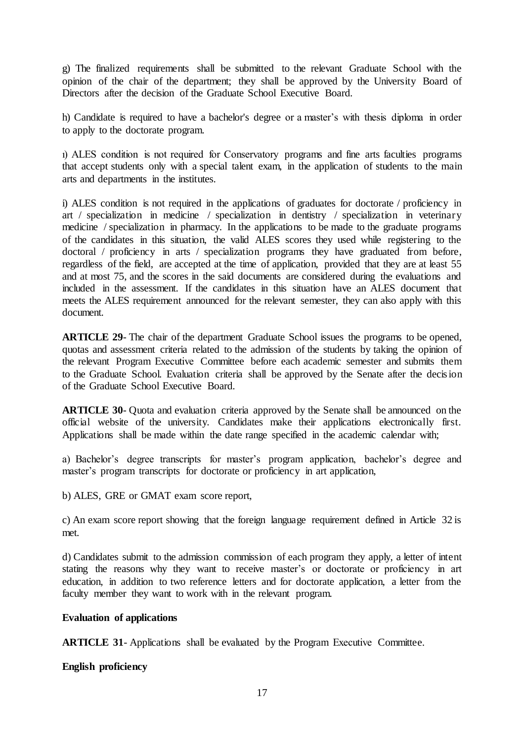g) The finalized requirements shall be submitted to the relevant Graduate School with the opinion of the chair of the department; they shall be approved by the University Board of Directors after the decision of the Graduate School Executive Board.

h) Candidate is required to have a bachelor's degree or a master's with thesis diploma in order to apply to the doctorate program.

ı) ALES condition is not required for Conservatory programs and fine arts faculties programs that accept students only with a special talent exam, in the application of students to the main arts and departments in the institutes.

i) ALES condition is not required in the applications of graduates for doctorate / proficiency in art / specialization in medicine / specialization in dentistry / specialization in veterinary medicine / specialization in pharmacy. In the applications to be made to the graduate programs of the candidates in this situation, the valid ALES scores they used while registering to the doctoral / proficiency in arts / specialization programs they have graduated from before, regardless of the field, are accepted at the time of application, provided that they are at least 55 and at most 75, and the scores in the said documents are considered during the evaluations and included in the assessment. If the candidates in this situation have an ALES document that meets the ALES requirement announced for the relevant semester, they can also apply with this document.

**ARTICLE 29**- The chair of the department Graduate School issues the programs to be opened, quotas and assessment criteria related to the admission of the students by taking the opinion of the relevant Program Executive Committee before each academic semester and submits them to the Graduate School. Evaluation criteria shall be approved by the Senate after the decision of the Graduate School Executive Board.

**ARTICLE 30**- Quota and evaluation criteria approved by the Senate shall be announced on the official website of the university. Candidates make their applications electronically first. Applications shall be made within the date range specified in the academic calendar with;

a) Bachelor's degree transcripts for master's program application, bachelor's degree and master's program transcripts for doctorate or proficiency in art application,

b) ALES, GRE or GMAT exam score report,

c) An exam score report showing that the foreign language requirement defined in Article 32 is met.

d) Candidates submit to the admission commission of each program they apply, a letter of intent stating the reasons why they want to receive master's or doctorate or proficiency in art education, in addition to two reference letters and for doctorate application, a letter from the faculty member they want to work with in the relevant program.

### **Evaluation of applications**

**ARTICLE 31**- Applications shall be evaluated by the Program Executive Committee.

**English proficiency**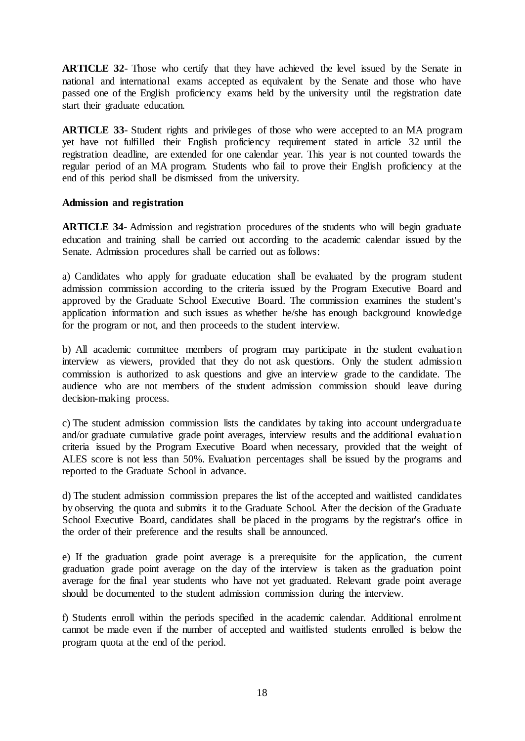**ARTICLE 32**- Those who certify that they have achieved the level issued by the Senate in national and international exams accepted as equivalent by the Senate and those who have passed one of the English proficiency exams held by the university until the registration date start their graduate education.

**ARTICLE 33**- Student rights and privileges of those who were accepted to an MA program yet have not fulfilled their English proficiency requirement stated in article 32 until the registration deadline, are extended for one calendar year. This year is not counted towards the regular period of an MA program. Students who fail to prove their English proficiency at the end of this period shall be dismissed from the university.

### **Admission and registration**

**ARTICLE 34**- Admission and registration procedures of the students who will begin graduate education and training shall be carried out according to the academic calendar issued by the Senate. Admission procedures shall be carried out as follows:

a) Candidates who apply for graduate education shall be evaluated by the program student admission commission according to the criteria issued by the Program Executive Board and approved by the Graduate School Executive Board. The commission examines the student's application information and such issues as whether he/she has enough background knowledge for the program or not, and then proceeds to the student interview.

b) All academic committee members of program may participate in the student evaluation interview as viewers, provided that they do not ask questions. Only the student admission commission is authorized to ask questions and give an interview grade to the candidate. The audience who are not members of the student admission commission should leave during decision-making process.

c) The student admission commission lists the candidates by taking into account undergraduate and/or graduate cumulative grade point averages, interview results and the additional evaluation criteria issued by the Program Executive Board when necessary, provided that the weight of ALES score is not less than 50%. Evaluation percentages shall be issued by the programs and reported to the Graduate School in advance.

d) The student admission commission prepares the list of the accepted and waitlisted candidates by observing the quota and submits it to the Graduate School. After the decision of the Graduate School Executive Board, candidates shall be placed in the programs by the registrar's office in the order of their preference and the results shall be announced.

e) If the graduation grade point average is a prerequisite for the application, the current graduation grade point average on the day of the interview is taken as the graduation point average for the final year students who have not yet graduated. Relevant grade point average should be documented to the student admission commission during the interview.

f) Students enroll within the periods specified in the academic calendar. Additional enrolment cannot be made even if the number of accepted and waitlisted students enrolled is below the program quota at the end of the period.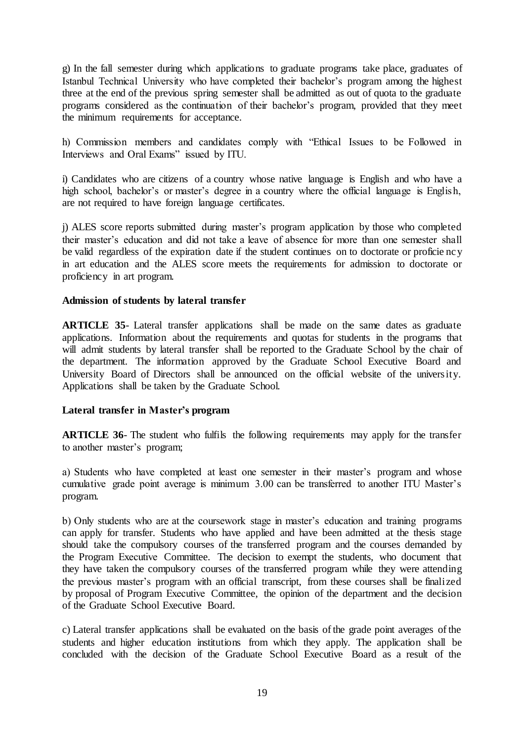g) In the fall semester during which applications to graduate programs take place, graduates of Istanbul Technical University who have completed their bachelor's program among the highest three at the end of the previous spring semester shall be admitted as out of quota to the graduate programs considered as the continuation of their bachelor's program, provided that they meet the minimum requirements for acceptance.

h) Commission members and candidates comply with "Ethical Issues to be Followed in Interviews and Oral Exams" issued by ITU.

i) Candidates who are citizens of a country whose native language is English and who have a high school, bachelor's or master's degree in a country where the official language is English, are not required to have foreign language certificates.

j) ALES score reports submitted during master's program application by those who completed their master's education and did not take a leave of absence for more than one semester shall be valid regardless of the expiration date if the student continues on to doctorate or proficie ncy in art education and the ALES score meets the requirements for admission to doctorate or proficiency in art program.

### **Admission of students by lateral transfer**

**ARTICLE 35**- Lateral transfer applications shall be made on the same dates as graduate applications. Information about the requirements and quotas for students in the programs that will admit students by lateral transfer shall be reported to the Graduate School by the chair of the department. The information approved by the Graduate School Executive Board and University Board of Directors shall be announced on the official website of the university. Applications shall be taken by the Graduate School.

### **Lateral transfer in Master's program**

**ARTICLE 36**- The student who fulfils the following requirements may apply for the transfer to another master's program;

a) Students who have completed at least one semester in their master's program and whose cumulative grade point average is minimum 3.00 can be transferred to another ITU Master's program.

b) Only students who are at the coursework stage in master's education and training programs can apply for transfer. Students who have applied and have been admitted at the thesis stage should take the compulsory courses of the transferred program and the courses demanded by the Program Executive Committee. The decision to exempt the students, who document that they have taken the compulsory courses of the transferred program while they were attending the previous master's program with an official transcript, from these courses shall be finalized by proposal of Program Executive Committee, the opinion of the department and the decision of the Graduate School Executive Board.

c) Lateral transfer applications shall be evaluated on the basis of the grade point averages of the students and higher education institutions from which they apply. The application shall be concluded with the decision of the Graduate School Executive Board as a result of the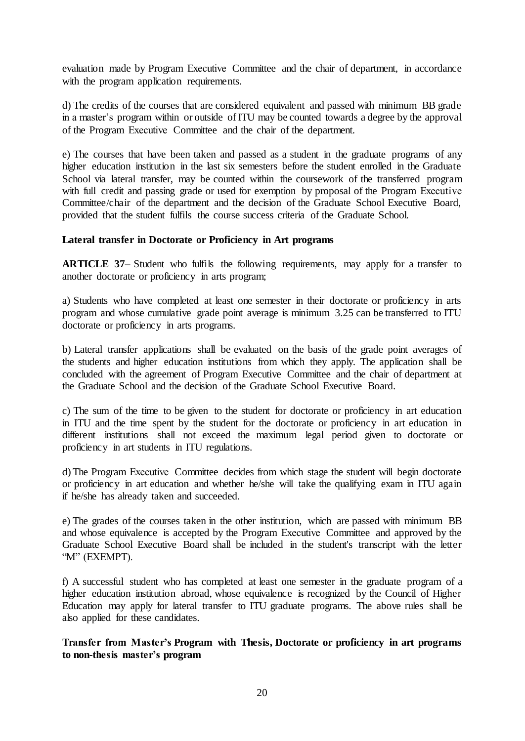evaluation made by Program Executive Committee and the chair of department, in accordance with the program application requirements.

d) The credits of the courses that are considered equivalent and passed with minimum BB grade in a master's program within or outside of ITU may be counted towards a degree by the approval of the Program Executive Committee and the chair of the department.

e) The courses that have been taken and passed as a student in the graduate programs of any higher education institution in the last six semesters before the student enrolled in the Graduate School via lateral transfer, may be counted within the coursework of the transferred program with full credit and passing grade or used for exemption by proposal of the Program Executive Committee/chair of the department and the decision of the Graduate School Executive Board, provided that the student fulfils the course success criteria of the Graduate School.

### **Lateral transfer in Doctorate or Proficiency in Art programs**

**ARTICLE 37–** Student who fulfils the following requirements, may apply for a transfer to another doctorate or proficiency in arts program;

a) Students who have completed at least one semester in their doctorate or proficiency in arts program and whose cumulative grade point average is minimum 3.25 can be transferred to ITU doctorate or proficiency in arts programs.

b) Lateral transfer applications shall be evaluated on the basis of the grade point averages of the students and higher education institutions from which they apply. The application shall be concluded with the agreement of Program Executive Committee and the chair of department at the Graduate School and the decision of the Graduate School Executive Board.

c) The sum of the time to be given to the student for doctorate or proficiency in art education in ITU and the time spent by the student for the doctorate or proficiency in art education in different institutions shall not exceed the maximum legal period given to doctorate or proficiency in art students in ITU regulations.

d) The Program Executive Committee decides from which stage the student will begin doctorate or proficiency in art education and whether he/she will take the qualifying exam in ITU again if he/she has already taken and succeeded.

e) The grades of the courses taken in the other institution, which are passed with minimum BB and whose equivalence is accepted by the Program Executive Committee and approved by the Graduate School Executive Board shall be included in the student's transcript with the letter "M" (EXEMPT).

f) A successful student who has completed at least one semester in the graduate program of a higher education institution abroad, whose equivalence is recognized by the Council of Higher Education may apply for lateral transfer to ITU graduate programs. The above rules shall be also applied for these candidates.

**Transfer from Master's Program with Thesis, Doctorate or proficiency in art programs to non-thesis master's program**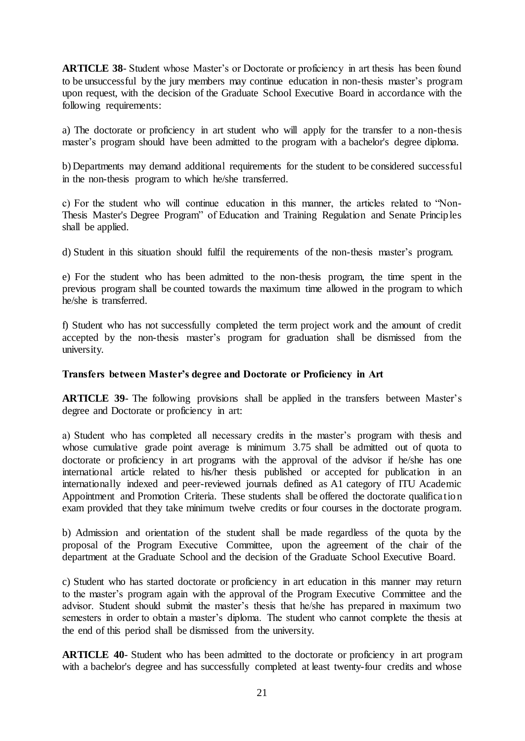**ARTICLE 38**- Student whose Master's or Doctorate or proficiency in art thesis has been found to be unsuccessful by the jury members may continue education in non-thesis master's program upon request, with the decision of the Graduate School Executive Board in accordance with the following requirements:

a) The doctorate or proficiency in art student who will apply for the transfer to a non-thesis master's program should have been admitted to the program with a bachelor's degree diploma.

b) Departments may demand additional requirements for the student to be considered successful in the non-thesis program to which he/she transferred.

c) For the student who will continue education in this manner, the articles related to "Non-Thesis Master's Degree Program" of Education and Training Regulation and Senate Principles shall be applied.

d) Student in this situation should fulfil the requirements of the non-thesis master's program.

e) For the student who has been admitted to the non-thesis program, the time spent in the previous program shall be counted towards the maximum time allowed in the program to which he/she is transferred.

f) Student who has not successfully completed the term project work and the amount of credit accepted by the non-thesis master's program for graduation shall be dismissed from the university.

## **Transfers between Master's degree and Doctorate or Proficiency in Art**

**ARTICLE 39**- The following provisions shall be applied in the transfers between Master's degree and Doctorate or proficiency in art:

a) Student who has completed all necessary credits in the master's program with thesis and whose cumulative grade point average is minimum 3.75 shall be admitted out of quota to doctorate or proficiency in art programs with the approval of the advisor if he/she has one international article related to his/her thesis published or accepted for publication in an internationally indexed and peer-reviewed journals defined as A1 category of ITU Academic Appointment and Promotion Criteria. These students shall be offered the doctorate qualification exam provided that they take minimum twelve credits or four courses in the doctorate program.

b) Admission and orientation of the student shall be made regardless of the quota by the proposal of the Program Executive Committee, upon the agreement of the chair of the department at the Graduate School and the decision of the Graduate School Executive Board.

c) Student who has started doctorate or proficiency in art education in this manner may return to the master's program again with the approval of the Program Executive Committee and the advisor. Student should submit the master's thesis that he/she has prepared in maximum two semesters in order to obtain a master's diploma. The student who cannot complete the thesis at the end of this period shall be dismissed from the university.

**ARTICLE 40**- Student who has been admitted to the doctorate or proficiency in art program with a bachelor's degree and has successfully completed at least twenty-four credits and whose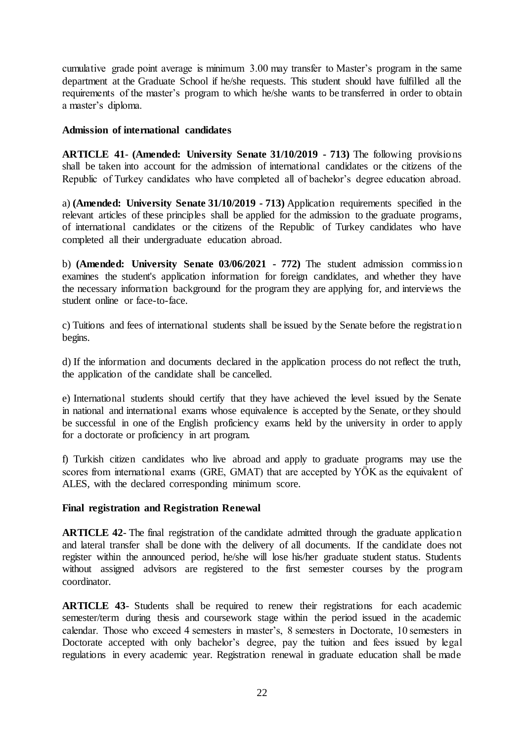cumulative grade point average is minimum 3.00 may transfer to Master's program in the same department at the Graduate School if he/she requests. This student should have fulfilled all the requirements of the master's program to which he/she wants to be transferred in order to obtain a master's diploma.

## **Admission of international candidates**

**ARTICLE 41**- **(Amended: University Senate 31/10/2019 - 713)** The following provisions shall be taken into account for the admission of international candidates or the citizens of the Republic of Turkey candidates who have completed all of bachelor's degree education abroad.

a) **(Amended: University Senate 31/10/2019 - 713)** Application requirements specified in the relevant articles of these principles shall be applied for the admission to the graduate programs, of international candidates or the citizens of the Republic of Turkey candidates who have completed all their undergraduate education abroad.

b) **(Amended: University Senate 03/06/2021 - 772)** The student admission commission examines the student's application information for foreign candidates, and whether they have the necessary information background for the program they are applying for, and interviews the student online or face-to-face.

c) Tuitions and fees of international students shall be issued by the Senate before the registration begins.

d) If the information and documents declared in the application process do not reflect the truth, the application of the candidate shall be cancelled.

e) International students should certify that they have achieved the level issued by the Senate in national and international exams whose equivalence is accepted by the Senate, or they should be successful in one of the English proficiency exams held by the university in order to apply for a doctorate or proficiency in art program.

f) Turkish citizen candidates who live abroad and apply to graduate programs may use the scores from international exams (GRE, GMAT) that are accepted by YÖK as the equivalent of ALES, with the declared corresponding minimum score.

### **Final registration and Registration Renewal**

**ARTICLE 42-** The final registration of the candidate admitted through the graduate application and lateral transfer shall be done with the delivery of all documents. If the candidate does not register within the announced period, he/she will lose his/her graduate student status. Students without assigned advisors are registered to the first semester courses by the program coordinator.

**ARTICLE 43**- Students shall be required to renew their registrations for each academic semester/term during thesis and coursework stage within the period issued in the academic calendar. Those who exceed 4 semesters in master's, 8 semesters in Doctorate, 10 semesters in Doctorate accepted with only bachelor's degree, pay the tuition and fees issued by legal regulations in every academic year. Registration renewal in graduate education shall be made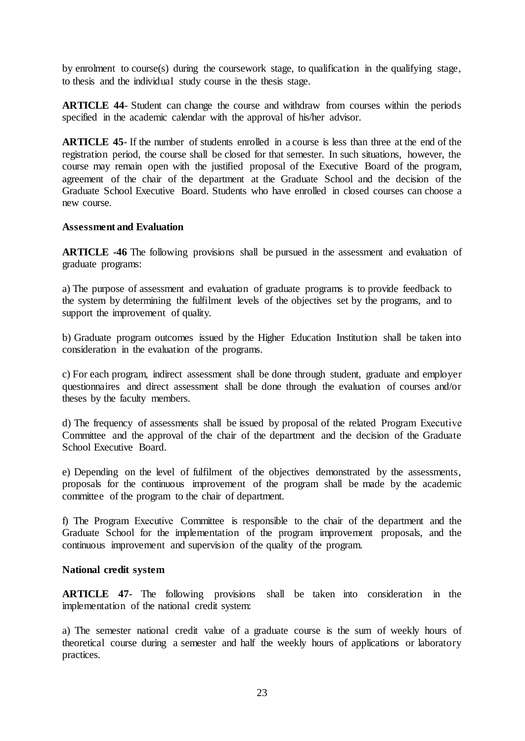by enrolment to course(s) during the coursework stage, to qualification in the qualifying stage, to thesis and the individual study course in the thesis stage.

**ARTICLE 44**- Student can change the course and withdraw from courses within the periods specified in the academic calendar with the approval of his/her advisor.

**ARTICLE 45**- If the number of students enrolled in a course is less than three at the end of the registration period, the course shall be closed for that semester. In such situations, however, the course may remain open with the justified proposal of the Executive Board of the program, agreement of the chair of the department at the Graduate School and the decision of the Graduate School Executive Board. Students who have enrolled in closed courses can choose a new course.

### **Assessment and Evaluation**

**ARTICLE -46** The following provisions shall be pursued in the assessment and evaluation of graduate programs:

a) The purpose of assessment and evaluation of graduate programs is to provide feedback to the system by determining the fulfilment levels of the objectives set by the programs, and to support the improvement of quality.

b) Graduate program outcomes issued by the Higher Education Institution shall be taken into consideration in the evaluation of the programs.

c) For each program, indirect assessment shall be done through student, graduate and employer questionnaires and direct assessment shall be done through the evaluation of courses and/or theses by the faculty members.

d) The frequency of assessments shall be issued by proposal of the related Program Executive Committee and the approval of the chair of the department and the decision of the Graduate School Executive Board.

e) Depending on the level of fulfilment of the objectives demonstrated by the assessments, proposals for the continuous improvement of the program shall be made by the academic committee of the program to the chair of department.

f) The Program Executive Committee is responsible to the chair of the department and the Graduate School for the implementation of the program improvement proposals, and the continuous improvement and supervision of the quality of the program.

### **National credit system**

**ARTICLE 47**- The following provisions shall be taken into consideration in the implementation of the national credit system:

a) The semester national credit value of a graduate course is the sum of weekly hours of theoretical course during a semester and half the weekly hours of applications or laboratory practices.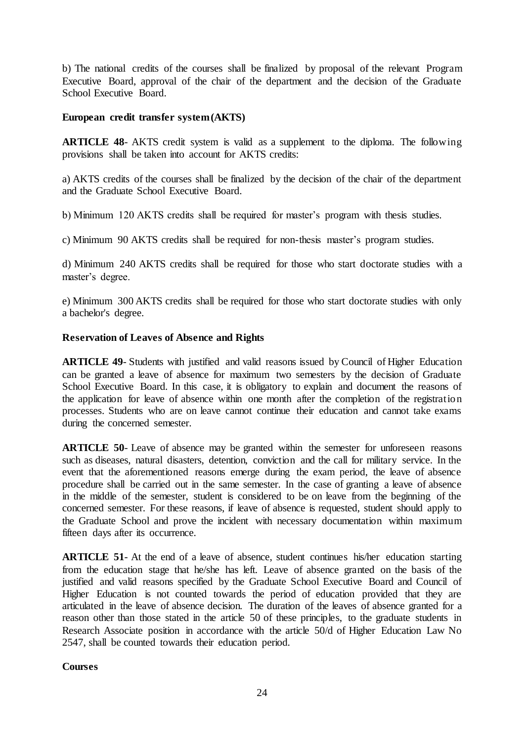b) The national credits of the courses shall be finalized by proposal of the relevant Program Executive Board, approval of the chair of the department and the decision of the Graduate School Executive Board.

### **European credit transfer system (AKTS)**

**ARTICLE 48**- AKTS credit system is valid as a supplement to the diploma. The following provisions shall be taken into account for AKTS credits:

a) AKTS credits of the courses shall be finalized by the decision of the chair of the department and the Graduate School Executive Board.

b) Minimum 120 AKTS credits shall be required for master's program with thesis studies.

c) Minimum 90 AKTS credits shall be required for non-thesis master's program studies.

d) Minimum 240 AKTS credits shall be required for those who start doctorate studies with a master's degree.

e) Minimum 300 AKTS credits shall be required for those who start doctorate studies with only a bachelor's degree.

### **Reservation of Leaves of Absence and Rights**

**ARTICLE 49**- Students with justified and valid reasons issued by Council of Higher Education can be granted a leave of absence for maximum two semesters by the decision of Graduate School Executive Board. In this case, it is obligatory to explain and document the reasons of the application for leave of absence within one month after the completion of the registration processes. Students who are on leave cannot continue their education and cannot take exams during the concerned semester.

**ARTICLE 50**- Leave of absence may be granted within the semester for unforeseen reasons such as diseases, natural disasters, detention, conviction and the call for military service. In the event that the aforementioned reasons emerge during the exam period, the leave of absence procedure shall be carried out in the same semester. In the case of granting a leave of absence in the middle of the semester, student is considered to be on leave from the beginning of the concerned semester. For these reasons, if leave of absence is requested, student should apply to the Graduate School and prove the incident with necessary documentation within maximum fifteen days after its occurrence.

**ARTICLE 51**- At the end of a leave of absence, student continues his/her education starting from the education stage that he/she has left. Leave of absence granted on the basis of the justified and valid reasons specified by the Graduate School Executive Board and Council of Higher Education is not counted towards the period of education provided that they are articulated in the leave of absence decision. The duration of the leaves of absence granted for a reason other than those stated in the article 50 of these principles, to the graduate students in Research Associate position in accordance with the article 50/d of Higher Education Law No 2547, shall be counted towards their education period.

# **Courses**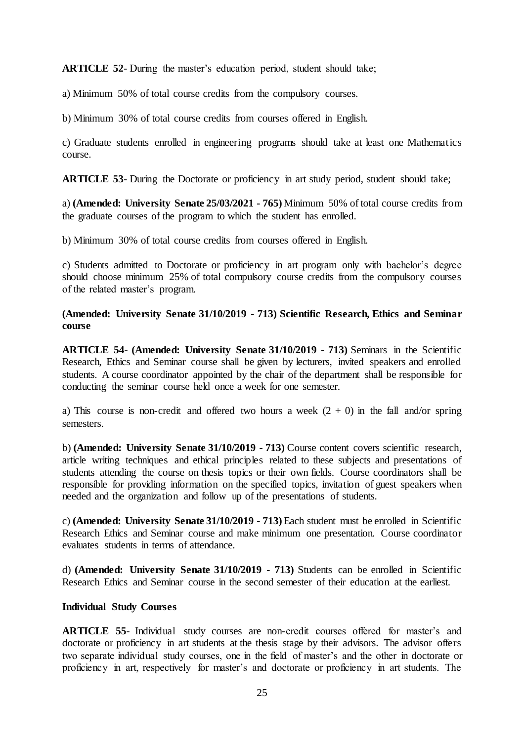**ARTICLE 52**- During the master's education period, student should take;

a) Minimum 50% of total course credits from the compulsory courses.

b) Minimum 30% of total course credits from courses offered in English.

c) Graduate students enrolled in engineering programs should take at least one Mathematics course.

**ARTICLE 53**- During the Doctorate or proficiency in art study period, student should take;

a) **(Amended: University Senate 25/03/2021 - 765)** Minimum 50% of total course credits from the graduate courses of the program to which the student has enrolled.

b) Minimum 30% of total course credits from courses offered in English.

c) Students admitted to Doctorate or proficiency in art program only with bachelor's degree should choose minimum 25% of total compulsory course credits from the compulsory courses of the related master's program.

# **(Amended: University Senate 31/10/2019 - 713) Scientific Research, Ethics and Seminar course**

**ARTICLE 54**- **(Amended: University Senate 31/10/2019 - 713)** Seminars in the Scientific Research, Ethics and Seminar course shall be given by lecturers, invited speakers and enrolled students. A course coordinator appointed by the chair of the department shall be responsible for conducting the seminar course held once a week for one semester.

a) This course is non-credit and offered two hours a week  $(2 + 0)$  in the fall and/or spring semesters.

b) **(Amended: University Senate 31/10/2019 - 713)** Course content covers scientific research, article writing techniques and ethical principles related to these subjects and presentations of students attending the course on thesis topics or their own fields. Course coordinators shall be responsible for providing information on the specified topics, invitation of guest speakers when needed and the organization and follow up of the presentations of students.

c) **(Amended: University Senate 31/10/2019 - 713)** Each student must be enrolled in Scientific Research Ethics and Seminar course and make minimum one presentation. Course coordinator evaluates students in terms of attendance.

d) **(Amended: University Senate 31/10/2019 - 713)** Students can be enrolled in Scientific Research Ethics and Seminar course in the second semester of their education at the earliest.

### **Individual Study Courses**

**ARTICLE 55**- Individual study courses are non-credit courses offered for master's and doctorate or proficiency in art students at the thesis stage by their advisors. The advisor offers two separate individual study courses, one in the field of master's and the other in doctorate or proficiency in art, respectively for master's and doctorate or proficiency in art students. The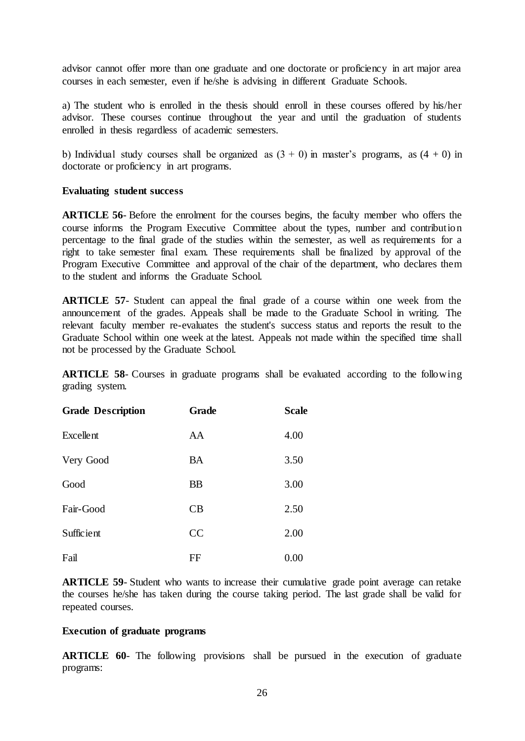advisor cannot offer more than one graduate and one doctorate or proficiency in art major area courses in each semester, even if he/she is advising in different Graduate Schools.

a) The student who is enrolled in the thesis should enroll in these courses offered by his/her advisor. These courses continue throughout the year and until the graduation of students enrolled in thesis regardless of academic semesters.

b) Individual study courses shall be organized as  $(3 + 0)$  in master's programs, as  $(4 + 0)$  in doctorate or proficiency in art programs.

#### **Evaluating student success**

**ARTICLE 56**- Before the enrolment for the courses begins, the faculty member who offers the course informs the Program Executive Committee about the types, number and contribution percentage to the final grade of the studies within the semester, as well as requirements for a right to take semester final exam. These requirements shall be finalized by approval of the Program Executive Committee and approval of the chair of the department, who declares them to the student and informs the Graduate School.

**ARTICLE 57**- Student can appeal the final grade of a course within one week from the announcement of the grades. Appeals shall be made to the Graduate School in writing. The relevant faculty member re-evaluates the student's success status and reports the result to the Graduate School within one week at the latest. Appeals not made within the specified time shall not be processed by the Graduate School.

**ARTICLE 58**- Courses in graduate programs shall be evaluated according to the following grading system.

| <b>Grade Description</b> | <b>Grade</b> | <b>Scale</b> |
|--------------------------|--------------|--------------|
| Excellent                | AA           | 4.00         |
| Very Good                | <b>BA</b>    | 3.50         |
| Good                     | <b>BB</b>    | 3.00         |
| Fair-Good                | CB           | 2.50         |
| Sufficient               | CC           | 2.00         |
| Fail                     | FF           | 0.00         |

**ARTICLE 59-** Student who wants to increase their cumulative grade point average can retake the courses he/she has taken during the course taking period. The last grade shall be valid for repeated courses.

### **Execution of graduate programs**

**ARTICLE 60**- The following provisions shall be pursued in the execution of graduate programs: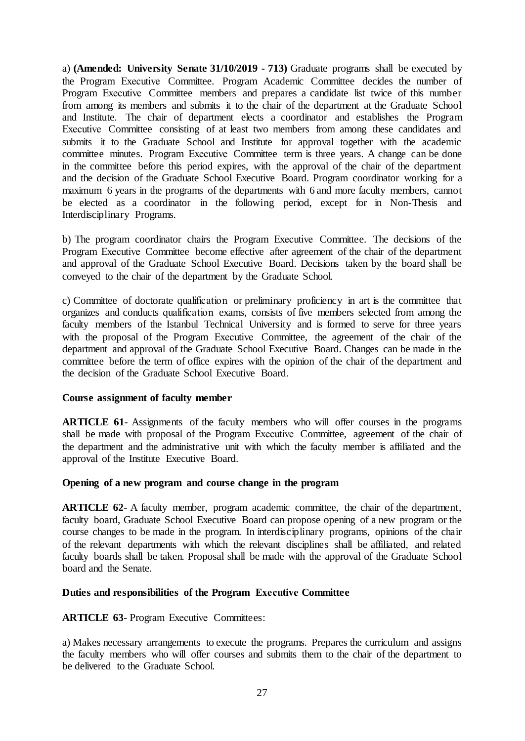a) **(Amended: University Senate 31/10/2019 - 713)** Graduate programs shall be executed by the Program Executive Committee. Program Academic Committee decides the number of Program Executive Committee members and prepares a candidate list twice of this number from among its members and submits it to the chair of the department at the Graduate School and Institute. The chair of department elects a coordinator and establishes the Program Executive Committee consisting of at least two members from among these candidates and submits it to the Graduate School and Institute for approval together with the academic committee minutes. Program Executive Committee term is three years. A change can be done in the committee before this period expires, with the approval of the chair of the department and the decision of the Graduate School Executive Board. Program coordinator working for a maximum 6 years in the programs of the departments with 6 and more faculty members, cannot be elected as a coordinator in the following period, except for in Non-Thesis and Interdisciplinary Programs.

b) The program coordinator chairs the Program Executive Committee. The decisions of the Program Executive Committee become effective after agreement of the chair of the department and approval of the Graduate School Executive Board. Decisions taken by the board shall be conveyed to the chair of the department by the Graduate School.

c) Committee of doctorate qualification or preliminary proficiency in art is the committee that organizes and conducts qualification exams, consists of five members selected from among the faculty members of the Istanbul Technical University and is formed to serve for three years with the proposal of the Program Executive Committee, the agreement of the chair of the department and approval of the Graduate School Executive Board. Changes can be made in the committee before the term of office expires with the opinion of the chair of the department and the decision of the Graduate School Executive Board.

### **Course assignment of faculty member**

**ARTICLE 61**- Assignments of the faculty members who will offer courses in the programs shall be made with proposal of the Program Executive Committee, agreement of the chair of the department and the administrative unit with which the faculty member is affiliated and the approval of the Institute Executive Board.

### **Opening of a new program and course change in the program**

**ARTICLE 62-** A faculty member, program academic committee, the chair of the department, faculty board, Graduate School Executive Board can propose opening of a new program or the course changes to be made in the program. In interdisciplinary programs, opinions of the chair of the relevant departments with which the relevant disciplines shall be affiliated, and related faculty boards shall be taken. Proposal shall be made with the approval of the Graduate School board and the Senate.

#### **Duties and responsibilities of the Program Executive Committee**

**ARTICLE 63- Program Executive Committees:** 

a) Makes necessary arrangements to execute the programs. Prepares the curriculum and assigns the faculty members who will offer courses and submits them to the chair of the department to be delivered to the Graduate School.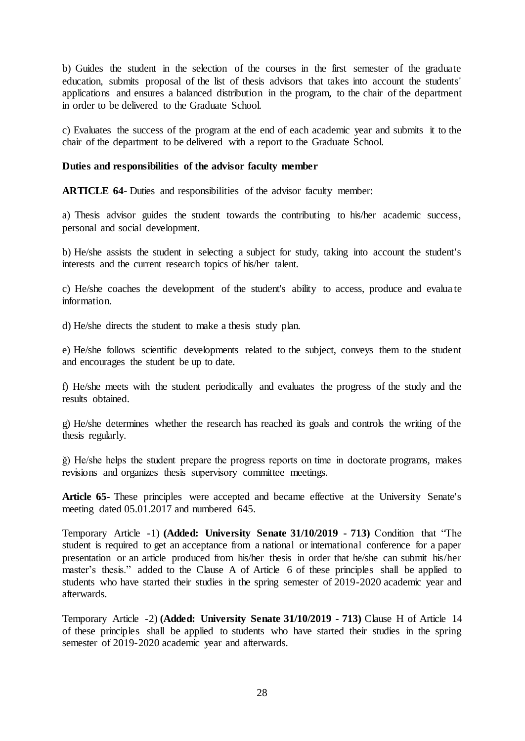b) Guides the student in the selection of the courses in the first semester of the graduate education, submits proposal of the list of thesis advisors that takes into account the students' applications and ensures a balanced distribution in the program, to the chair of the department in order to be delivered to the Graduate School.

c) Evaluates the success of the program at the end of each academic year and submits it to the chair of the department to be delivered with a report to the Graduate School.

### **Duties and responsibilities of the advisor faculty member**

**ARTICLE 64**- Duties and responsibilities of the advisor faculty member:

a) Thesis advisor guides the student towards the contributing to his/her academic success, personal and social development.

b) He/she assists the student in selecting a subject for study, taking into account the student's interests and the current research topics of his/her talent.

c) He/she coaches the development of the student's ability to access, produce and evalua te information.

d) He/she directs the student to make a thesis study plan.

e) He/she follows scientific developments related to the subject, conveys them to the student and encourages the student be up to date.

f) He/she meets with the student periodically and evaluates the progress of the study and the results obtained.

g) He/she determines whether the research has reached its goals and controls the writing of the thesis regularly.

ğ) He/she helps the student prepare the progress reports on time in doctorate programs, makes revisions and organizes thesis supervisory committee meetings.

**Article 65-** These principles were accepted and became effective at the University Senate's meeting dated 05.01.2017 and numbered 645.

Temporary Article -1) **(Added: University Senate 31/10/2019 - 713)** Condition that "The student is required to get an acceptance from a national or international conference for a paper presentation or an article produced from his/her thesis in order that he/she can submit his/her master's thesis." added to the Clause A of Article 6 of these principles shall be applied to students who have started their studies in the spring semester of 2019-2020 academic year and afterwards.

Temporary Article -2) **(Added: University Senate 31/10/2019 - 713)** Clause H of Article 14 of these principles shall be applied to students who have started their studies in the spring semester of 2019-2020 academic year and afterwards.